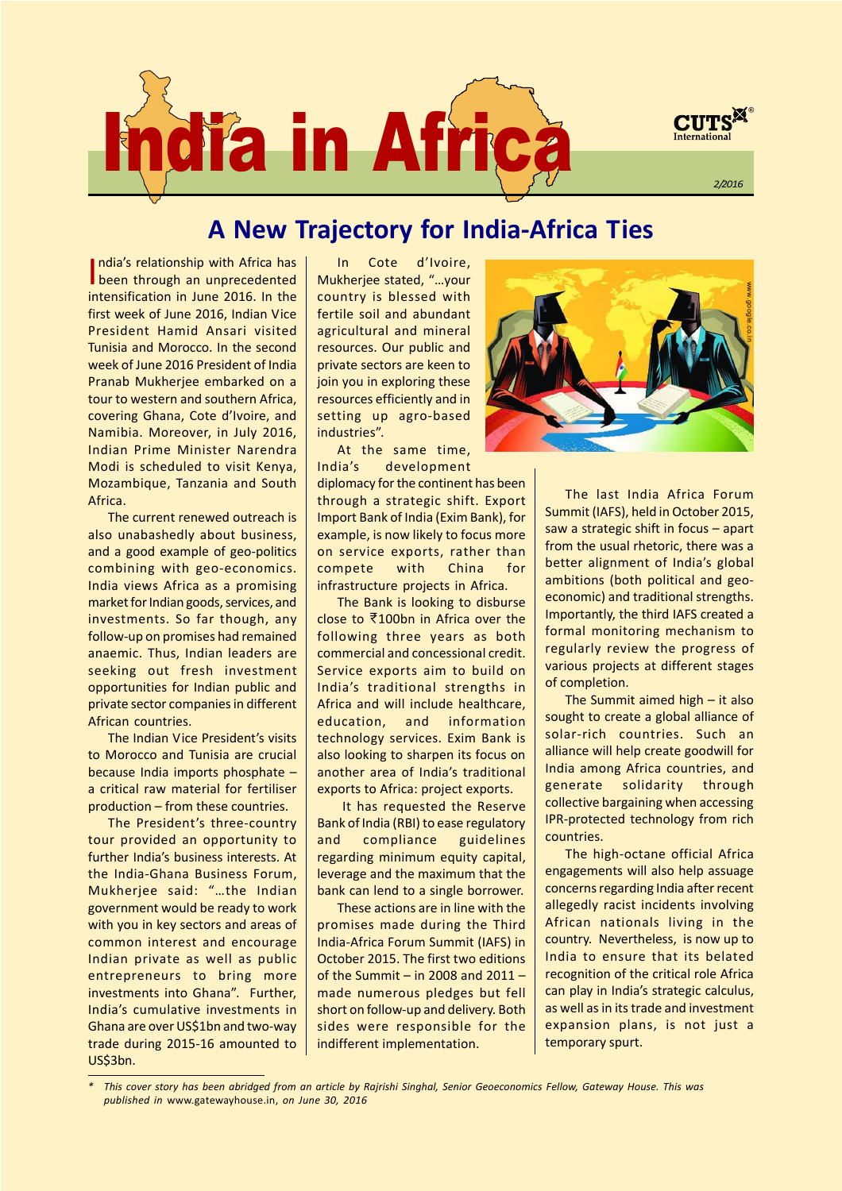

# A New Trajectory for India-Africa Ties

I ndiaís relationship with Africa has **I** been through an unprecedented intensification in June 2016. In the first week of June 2016, Indian Vice President Hamid Ansari visited Tunisia and Morocco. In the second week of June 2016 President of India Pranab Mukherjee embarked on a tour to western and southern Africa, covering Ghana, Cote d'Ivoire, and Namibia. Moreover, in July 2016, Indian Prime Minister Narendra Modi is scheduled to visit Kenya, Mozambique, Tanzania and South Africa.

The current renewed outreach is also unabashedly about business, and a good example of geo-politics combining with geo-economics. India views Africa as a promising market for Indian goods, services, and investments. So far though, any follow-up on promises had remained anaemic. Thus, Indian leaders are seeking out fresh investment opportunities for Indian public and private sector companies in different African countries.

The Indian Vice President's visits to Morocco and Tunisia are crucial because India imports phosphate  $$ a critical raw material for fertiliser  $production - from these countries.$ 

The President's three-country tour provided an opportunity to further India's business interests. At the India-Ghana Business Forum, Mukherjee said: "...the Indian government would be ready to work with you in key sectors and areas of common interest and encourage Indian private as well as public entrepreneurs to bring more investments into Ghana". Further, Indiaís cumulative investments in Ghana are over US\$1bn and two-way trade during 2015-16 amounted to US\$3bn.

In Cote d'Ivoire, Mukherjee stated, "...your country is blessed with fertile soil and abundant agricultural and mineral resources. Our public and private sectors are keen to join you in exploring these resources efficiently and in setting up agro-based industries".

At the same time, Indiaís development

diplomacy for the continent has been through a strategic shift. Export Import Bank of India (Exim Bank), for example, is now likely to focus more on service exports, rather than compete with China for infrastructure projects in Africa.

The Bank is looking to disburse close to ₹100bn in Africa over the following three years as both commercial and concessional credit. Service exports aim to build on Indiaís traditional strengths in Africa and will include healthcare, education, and information technology services. Exim Bank is also looking to sharpen its focus on another area of India's traditional exports to Africa: project exports.

It has requested the Reserve Bank of India (RBI) to ease regulatory and compliance guidelines regarding minimum equity capital, leverage and the maximum that the bank can lend to a single borrower.

These actions are in line with the promises made during the Third India-Africa Forum Summit (IAFS) in October 2015. The first two editions of the Summit  $-$  in 2008 and 2011  $$ made numerous pledges but fell short on follow-up and delivery. Both sides were responsible for the indifferent implementation.



The last India Africa Forum Summit (IAFS), held in October 2015, saw a strategic shift in focus  $-$  apart from the usual rhetoric, there was a better alignment of India's global ambitions (both political and geoeconomic) and traditional strengths. Importantly, the third IAFS created a formal monitoring mechanism to regularly review the progress of various projects at different stages of completion.

The Summit aimed high  $-$  it also sought to create a global alliance of solar-rich countries. Such an alliance will help create goodwill for India among Africa countries, and generate solidarity through collective bargaining when accessing IPR-protected technology from rich countries.

The high-octane official Africa engagements will also help assuage concerns regarding India after recent allegedly racist incidents involving African nationals living in the country. Nevertheless, is now up to India to ensure that its belated recognition of the critical role Africa can play in India's strategic calculus, as well as in its trade and investment expansion plans, is not just a temporary spurt.

This cover story has been abridged from an article by Rajrishi Singhal, Senior Geoeconomics Fellow, Gateway House. This was published in www.gatewayhouse.in, on June 30, 2016